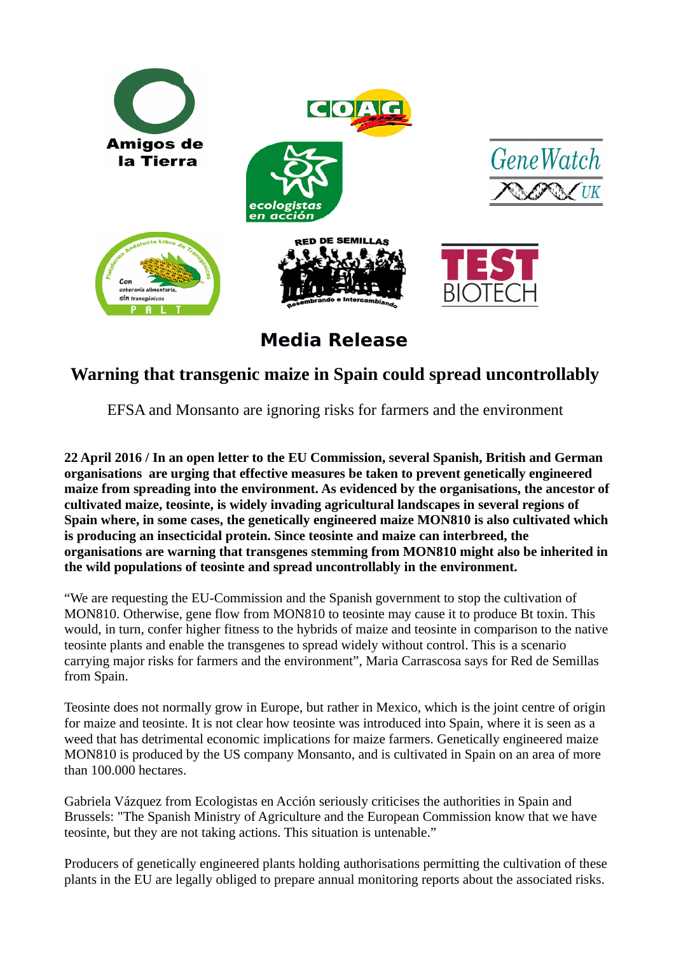

**Media Release**

## **Warning that transgenic maize in Spain could spread uncontrollably**

EFSA and Monsanto are ignoring risks for farmers and the environment

**22 April 2016 / In an open letter to the EU Commission, several Spanish, British and German organisations are urging that effective measures be taken to prevent genetically engineered maize from spreading into the environment. As evidenced by the organisations, the ancestor of cultivated maize, teosinte, is widely invading agricultural landscapes in several regions of Spain where, in some cases, the genetically engineered maize MON810 is also cultivated which is producing an insecticidal protein. Since teosinte and maize can interbreed, the organisations are warning that transgenes stemming from MON810 might also be inherited in the wild populations of teosinte and spread uncontrollably in the environment.** 

"We are requesting the EU-Commission and the Spanish government to stop the cultivation of MON810. Otherwise, gene flow from MON810 to teosinte may cause it to produce Bt toxin. This would, in turn, confer higher fitness to the hybrids of maize and teosinte in comparison to the native teosinte plants and enable the transgenes to spread widely without control. This is a scenario carrying major risks for farmers and the environment", Maria Carrascosa says for Red de Semillas from Spain.

Teosinte does not normally grow in Europe, but rather in Mexico, which is the joint centre of origin for maize and teosinte. It is not clear how teosinte was introduced into Spain, where it is seen as a weed that has detrimental economic implications for maize farmers. Genetically engineered maize MON810 is produced by the US company Monsanto, and is cultivated in Spain on an area of more than 100.000 hectares.

Gabriela Vázquez from Ecologistas en Acción seriously criticises the authorities in Spain and Brussels: "The Spanish Ministry of Agriculture and the European Commission know that we have teosinte, but they are not taking actions. This situation is untenable."

Producers of genetically engineered plants holding authorisations permitting the cultivation of these plants in the EU are legally obliged to prepare annual monitoring reports about the associated risks.